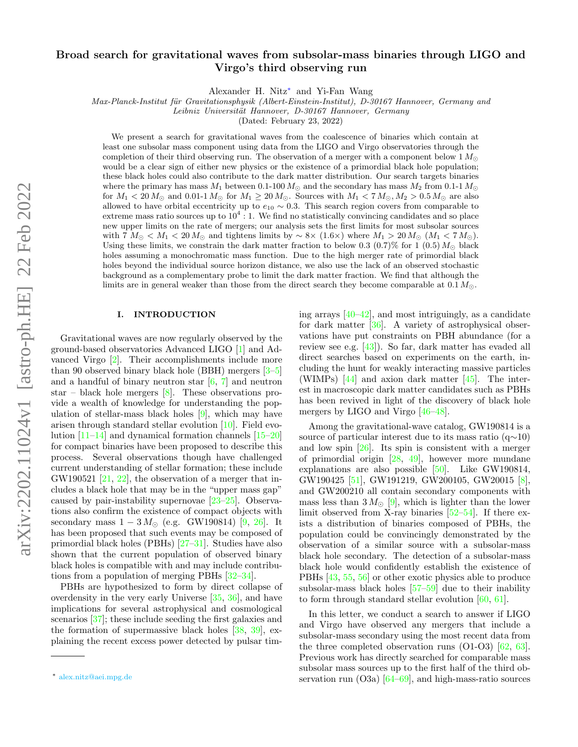# Broad search for gravitational waves from subsolar-mass binaries through LIGO and Virgo's third observing run

Alexander H. Nitz[∗](#page-0-0) and Yi-Fan Wang

Max-Planck-Institut für Gravitationsphysik (Albert-Einstein-Institut), D-30167 Hannover, Germany and

Leibniz Universität Hannover, D-30167 Hannover, Germany

(Dated: February 23, 2022)

We present a search for gravitational waves from the coalescence of binaries which contain at least one subsolar mass component using data from the LIGO and Virgo observatories through the completion of their third observing run. The observation of a merger with a component below  $1 M_{\odot}$ would be a clear sign of either new physics or the existence of a primordial black hole population; these black holes could also contribute to the dark matter distribution. Our search targets binaries where the primary has mass  $M_1$  between 0.1-100  $M_{\odot}$  and the secondary has mass  $M_2$  from 0.1-1  $M_{\odot}$ for  $M_1 < 20 M_{\odot}$  and 0.01-1  $M_{\odot}$  for  $M_1 \geq 20 M_{\odot}$ . Sources with  $M_1 < 7 M_{\odot}$ ,  $M_2 > 0.5 M_{\odot}$  are also allowed to have orbital eccentricity up to  $e_{10} \sim 0.3$ . This search region covers from comparable to extreme mass ratio sources up to  $10^4$  : 1. We find no statistically convincing candidates and so place new upper limits on the rate of mergers; our analysis sets the first limits for most subsolar sources with  $7 M_{\odot} < M_1 < 20 M_{\odot}$  and tightens limits by  $\sim 8 \times (1.6 \times)$  where  $M_1 > 20 M_{\odot}$  ( $M_1 < 7 M_{\odot}$ ). Using these limits, we constrain the dark matter fraction to below 0.3 (0.7)% for 1 (0.5)  $M_{\odot}$  black holes assuming a monochromatic mass function. Due to the high merger rate of primordial black holes beyond the individual source horizon distance, we also use the lack of an observed stochastic background as a complementary probe to limit the dark matter fraction. We find that although the limits are in general weaker than those from the direct search they become comparable at  $0.1 M_{\odot}$ .

#### I. INTRODUCTION

Gravitational waves are now regularly observed by the ground-based observatories Advanced LIGO [\[1\]](#page-4-0) and Advanced Virgo [\[2\]](#page-4-1). Their accomplishments include more than 90 observed binary black hole (BBH) mergers [\[3](#page-4-2)[–5\]](#page-4-3) and a handful of binary neutron star  $[6, 7]$  $[6, 7]$  $[6, 7]$  and neutron star – black hole mergers  $[8]$ . These observations provide a wealth of knowledge for understanding the population of stellar-mass black holes [\[9\]](#page-4-7), which may have arisen through standard stellar evolution [\[10\]](#page-4-8). Field evolution [\[11](#page-4-9)[–14\]](#page-5-0) and dynamical formation channels [\[15](#page-5-1)[–20\]](#page-5-2) for compact binaries have been proposed to describe this process. Several observations though have challenged current understanding of stellar formation; these include GW190521  $[21, 22]$  $[21, 22]$  $[21, 22]$ , the observation of a merger that includes a black hole that may be in the "upper mass gap" caused by pair-instability supernovae [\[23–](#page-5-5)[25\]](#page-5-6). Observations also confirm the existence of compact objects with secondary mass  $1 - 3 M_{\odot}$  (e.g. GW190814) [\[9,](#page-4-7) [26\]](#page-5-7). It has been proposed that such events may be composed of primordial black holes (PBHs) [\[27–](#page-5-8)[31\]](#page-5-9). Studies have also shown that the current population of observed binary black holes is compatible with and may include contributions from a population of merging PBHs [\[32](#page-5-10)[–34\]](#page-5-11).

PBHs are hypothesized to form by direct collapse of overdensity in the very early Universe [\[35,](#page-5-12) [36\]](#page-5-13), and have implications for several astrophysical and cosmological scenarios [\[37\]](#page-5-14); these include seeding the first galaxies and the formation of supermassive black holes  $[38, 39]$  $[38, 39]$  $[38, 39]$ , explaining the recent excess power detected by pulsar timing arrays  $[40-42]$  $[40-42]$ , and most intriguingly, as a candidate for dark matter [\[36\]](#page-5-13). A variety of astrophysical observations have put constraints on PBH abundance (for a review see e.g. [\[43\]](#page-6-2)). So far, dark matter has evaded all direct searches based on experiments on the earth, including the hunt for weakly interacting massive particles (WIMPs) [\[44\]](#page-6-3) and axion dark matter [\[45\]](#page-6-4). The interest in macroscopic dark matter candidates such as PBHs has been revived in light of the discovery of black hole mergers by LIGO and Virgo [\[46](#page-6-5)[–48\]](#page-6-6).

Among the gravitational-wave catalog, GW190814 is a source of particular interest due to its mass ratio  $(q\sim10)$ and low spin [\[26\]](#page-5-7). Its spin is consistent with a merger of primordial origin [\[28,](#page-5-17) [49\]](#page-6-7), however more mundane explanations are also possible  $[50]$ . Like GW190814, GW190425 [\[51\]](#page-6-9), GW191219, GW200105, GW20015 [\[8\]](#page-4-6), and GW200210 all contain secondary components with mass less than  $3 M_{\odot}$  [\[9\]](#page-4-7), which is lighter than the lower limit observed from X-ray binaries [\[52–](#page-6-10)[54\]](#page-6-11). If there exists a distribution of binaries composed of PBHs, the population could be convincingly demonstrated by the observation of a similar source with a subsolar-mass black hole secondary. The detection of a subsolar-mass black hole would confidently establish the existence of PBHs [\[43,](#page-6-2) [55,](#page-6-12) [56\]](#page-6-13) or other exotic physics able to produce subsolar-mass black holes [\[57–](#page-6-14)[59\]](#page-6-15) due to their inability to form through standard stellar evolution [\[60,](#page-6-16) [61\]](#page-6-17).

In this letter, we conduct a search to answer if LIGO and Virgo have observed any mergers that include a subsolar-mass secondary using the most recent data from the three completed observation runs (O1-O3) [\[62,](#page-6-18) [63\]](#page-6-19). Previous work has directly searched for comparable mass subsolar mass sources up to the first half of the third observation run  $(O3a)$  [\[64](#page-6-20)[–69\]](#page-7-0), and high-mass-ratio sources

<span id="page-0-0"></span><sup>∗</sup> [alex.nitz@aei.mpg.de](mailto:alex.nitz@aei.mpg.de)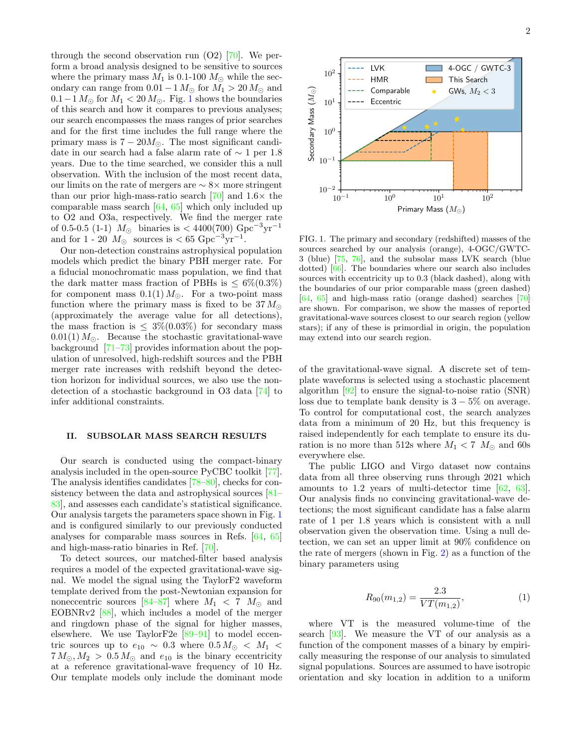through the second observation run  $(O2)$  [\[70\]](#page-7-1). We perform a broad analysis designed to be sensitive to sources where the primary mass  $M_1$  is 0.1-100  $M_{\odot}$  while the secondary can range from  $0.01 - 1 M_{\odot}$  for  $M_1 > 20 M_{\odot}$  and  $0.1-1 M_{\odot}$  $0.1-1 M_{\odot}$  $0.1-1 M_{\odot}$  for  $M_1 < 20 M_{\odot}$ . Fig. 1 shows the boundaries of this search and how it compares to previous analyses; our search encompasses the mass ranges of prior searches and for the first time includes the full range where the primary mass is  $7 - 20M_{\odot}$ . The most significant candidate in our search had a false alarm rate of ∼ 1 per 1.8 years. Due to the time searched, we consider this a null observation. With the inclusion of the most recent data, our limits on the rate of mergers are ∼ 8× more stringent than our prior high-mass-ratio search  $[70]$  and  $1.6\times$  the comparable mass search [\[64,](#page-6-20) [65\]](#page-6-21) which only included up to O2 and O3a, respectively. We find the merger rate of 0.5-0.5 (1-1)  $M_{\odot}$  binaries is < 4400(700) Gpc<sup>-3</sup>yr<sup>-1</sup> and for  $1 - 20$   $M_{\odot}$  sources is < 65 Gpc<sup>-3</sup>yr<sup>-1</sup>.

Our non-detection constrains astrophysical population models which predict the binary PBH merger rate. For a fiducial monochromatic mass population, we find that the dark matter mass fraction of PBHs is  $\leq 6\%(0.3\%)$ for component mass  $0.1(1) M_{\odot}$ . For a two-point mass function where the primary mass is fixed to be  $37 M_{\odot}$ (approximately the average value for all detections), the mass fraction is  $\leq 3\% (0.03\%)$  for secondary mass  $0.01(1) M_{\odot}$ . Because the stochastic gravitational-wave background [\[71–](#page-7-2)[73\]](#page-7-3) provides information about the population of unresolved, high-redshift sources and the PBH merger rate increases with redshift beyond the detection horizon for individual sources, we also use the nondetection of a stochastic background in O3 data [\[74\]](#page-7-4) to infer additional constraints.

## II. SUBSOLAR MASS SEARCH RESULTS

Our search is conducted using the compact-binary analysis included in the open-source PyCBC toolkit [\[77\]](#page-7-5). The analysis identifies candidates [\[78–](#page-7-6)[80\]](#page-7-7), checks for consistency between the data and astrophysical sources [\[81–](#page-7-8) [83\]](#page-7-9), and assesses each candidate's statistical significance. Our analysis targets the parameters space shown in Fig. [1](#page-1-0) and is configured similarly to our previously conducted analyses for comparable mass sources in Refs. [\[64,](#page-6-20) [65\]](#page-6-21) and high-mass-ratio binaries in Ref. [\[70\]](#page-7-1).

To detect sources, our matched-filter based analysis requires a model of the expected gravitational-wave signal. We model the signal using the TaylorF2 waveform template derived from the post-Newtonian expansion for noneccentric sources [\[84](#page-7-10)-87] where  $M_1 < 7$   $M_{\odot}$  and EOBNRv2  $[88]$ , which includes a model of the merger and ringdown phase of the signal for higher masses, elsewhere. We use  $TaylorF2e [89-91]$  $TaylorF2e [89-91]$  $TaylorF2e [89-91]$  to model eccentric sources up to  $e_{10} \sim 0.3$  where  $0.5 M_{\odot} < M_1 <$  $7 M_{\odot}$ ,  $M_2 > 0.5 M_{\odot}$  and  $e_{10}$  is the binary eccentricity at a reference gravitational-wave frequency of 10 Hz. Our template models only include the dominant mode



<span id="page-1-0"></span>FIG. 1. The primary and secondary (redshifted) masses of the sources searched by our analysis (orange), 4-OGC/GWTC-3 (blue) [\[75,](#page-7-15) [76\]](#page-7-16), and the subsolar mass LVK search (blue dotted) [\[66\]](#page-6-22). The boundaries where our search also includes sources with eccentricity up to 0.3 (black dashed), along with the boundaries of our prior comparable mass (green dashed) [\[64,](#page-6-20) [65\]](#page-6-21) and high-mass ratio (orange dashed) searches [\[70\]](#page-7-1) are shown. For comparison, we show the masses of reported gravitational-wave sources closest to our search region (yellow stars); if any of these is primordial in origin, the population may extend into our search region.

of the gravitational-wave signal. A discrete set of template waveforms is selected using a stochastic placement algorithm [\[92\]](#page-7-17) to ensure the signal-to-noise ratio (SNR) loss due to template bank density is  $3 - 5\%$  on average. To control for computational cost, the search analyzes data from a minimum of 20 Hz, but this frequency is raised independently for each template to ensure its duration is no more than 512s where  $M_1 < 7$   $M_{\odot}$  and 60s everywhere else.

The public LIGO and Virgo dataset now contains data from all three observing runs through 2021 which amounts to 1.2 years of multi-detector time [\[62,](#page-6-18) [63\]](#page-6-19). Our analysis finds no convincing gravitational-wave detections; the most significant candidate has a false alarm rate of 1 per 1.8 years which is consistent with a null observation given the observation time. Using a null detection, we can set an upper limit at 90% confidence on the rate of mergers (shown in Fig. [2\)](#page-2-0) as a function of the binary parameters using

$$
R_{90}(m_{1,2}) = \frac{2.3}{VT(m_{1,2})},\tag{1}
$$

where VT is the measured volume-time of the search [\[93\]](#page-7-18). We measure the VT of our analysis as a function of the component masses of a binary by empirically measuring the response of our analysis to simulated signal populations. Sources are assumed to have isotropic orientation and sky location in addition to a uniform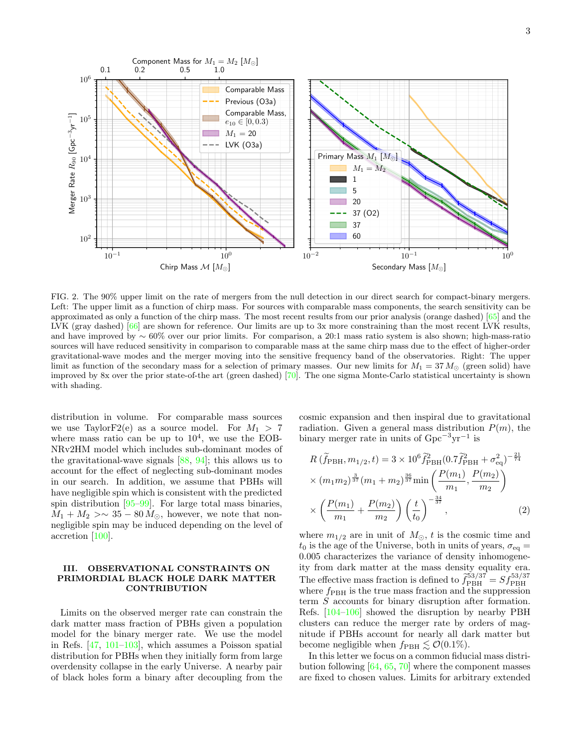

<span id="page-2-0"></span>FIG. 2. The 90% upper limit on the rate of mergers from the null detection in our direct search for compact-binary mergers. Left: The upper limit as a function of chirp mass. For sources with comparable mass components, the search sensitivity can be approximated as only a function of the chirp mass. The most recent results from our prior analysis (orange dashed) [\[65\]](#page-6-21) and the LVK (gray dashed) [\[66\]](#page-6-22) are shown for reference. Our limits are up to 3x more constraining than the most recent LVK results, and have improved by ∼ 60% over our prior limits. For comparison, a 20:1 mass ratio system is also shown; high-mass-ratio sources will have reduced sensitivity in comparison to comparable mass at the same chirp mass due to the effect of higher-order gravitational-wave modes and the merger moving into the sensitive frequency band of the observatories. Right: The upper limit as function of the secondary mass for a selection of primary masses. Our new limits for  $M_1 = 37 M_{\odot}$  (green solid) have improved by 8x over the prior state-of-the art (green dashed) [\[70\]](#page-7-1). The one sigma Monte-Carlo statistical uncertainty is shown with shading.

distribution in volume. For comparable mass sources we use TaylorF2(e) as a source model. For  $M_1 > 7$ where mass ratio can be up to  $10^4$ , we use the EOB-NRv2HM model which includes sub-dominant modes of the gravitational-wave signals [\[88,](#page-7-12) [94\]](#page-7-19); this allows us to account for the effect of neglecting sub-dominant modes in our search. In addition, we assume that PBHs will have negligible spin which is consistent with the predicted spin distribution  $[95-99]$  $[95-99]$ . For large total mass binaries,  $M_1 + M_2 > \sim 35 - 80 M_{\odot}$ , however, we note that nonnegligible spin may be induced depending on the level of accretion [\[100\]](#page-8-1).

## III. OBSERVATIONAL CONSTRAINTS ON PRIMORDIAL BLACK HOLE DARK MATTER **CONTRIBUTION**

Limits on the observed merger rate can constrain the dark matter mass fraction of PBHs given a population model for the binary merger rate. We use the model in Refs. [\[47,](#page-6-23) [101](#page-8-2)[–103\]](#page-8-3), which assumes a Poisson spatial distribution for PBHs when they initially form from large overdensity collapse in the early Universe. A nearby pair of black holes form a binary after decoupling from the

cosmic expansion and then inspiral due to gravitational radiation. Given a general mass distribution  $P(m)$ , the binary merger rate in units of  $Gpc^{-3}yr^{-1}$  is

<span id="page-2-1"></span>
$$
R\left(\tilde{f}_{\text{PBH}}, m_{1/2}, t\right) = 3 \times 10^6 \tilde{f}_{\text{PBH}}^2 (0.7 \tilde{f}_{\text{PBH}}^2 + \sigma_{\text{eq}}^2)^{-\frac{21}{74}} \times (m_1 m_2)^{\frac{3}{37}} (m_1 + m_2)^{\frac{36}{37}} \min\left(\frac{P(m_1)}{m_1}, \frac{P(m_2)}{m_2}\right) \times \left(\frac{P(m_1)}{m_1} + \frac{P(m_2)}{m_2}\right) \left(\frac{t}{t_0}\right)^{-\frac{34}{37}},
$$
\n(2)

where  $m_{1/2}$  are in unit of  $M_{\odot}$ , t is the cosmic time and  $t_0$  is the age of the Universe, both in units of years,  $\sigma_{\text{eq}} =$ 0.005 characterizes the variance of density inhomogeneity from dark matter at the mass density equality era. The effective mass fraction is defined to  $\tilde{f}_{\rm PBH}^{53/37} = S f_{\rm PBH}^{53/37}$ where  $f_{\rm PBH}$  is the true mass fraction and the suppression term S accounts for binary disruption after formation. Refs. [\[104–](#page-8-4)[106\]](#page-8-5) showed the disruption by nearby PBH clusters can reduce the merger rate by orders of magnitude if PBHs account for nearly all dark matter but become negligible when  $f_{\rm PBH} \lesssim \mathcal{O}(0.1\%).$ 

In this letter we focus on a common fiducial mass distribution following [\[64,](#page-6-20) [65,](#page-6-21) [70\]](#page-7-1) where the component masses are fixed to chosen values. Limits for arbitrary extended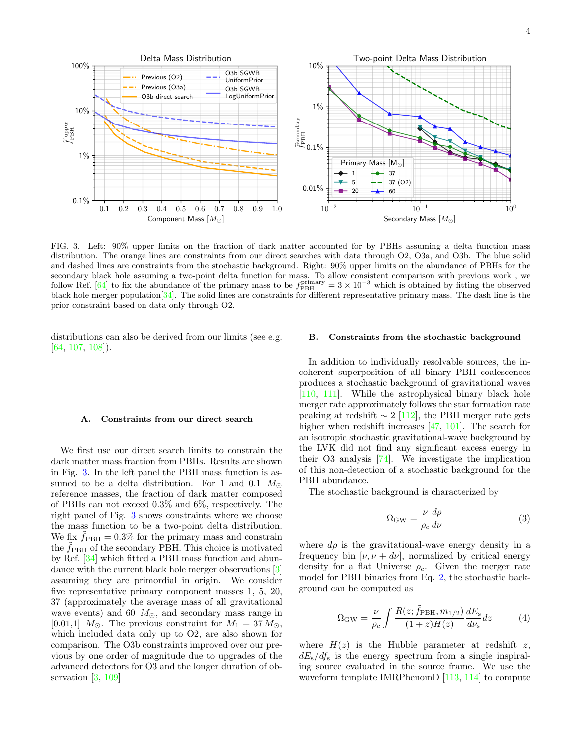

<span id="page-3-0"></span>FIG. 3. Left: 90% upper limits on the fraction of dark matter accounted for by PBHs assuming a delta function mass distribution. The orange lines are constraints from our direct searches with data through O2, O3a, and O3b. The blue solid and dashed lines are constraints from the stochastic background. Right: 90% upper limits on the abundance of PBHs for the secondary black hole assuming a two-point delta function for mass. To allow consistent comparison with previous work , we follow Ref. [\[64\]](#page-6-20) to fix the abundance of the primary mass to be  $f_{\rm PBH}^{\rm primary} = 3 \times 10^{-3}$  which is obtained by fitting the observed black hole merger population  $[34]$ . The solid lines are constraints for different representative primary mass. The dash line is the prior constraint based on data only through O2.

distributions can also be derived from our limits (see e.g. [\[64,](#page-6-20) [107,](#page-8-6) [108\]](#page-8-7)).

## A. Constraints from our direct search

We first use our direct search limits to constrain the dark matter mass fraction from PBHs. Results are shown in Fig. [3.](#page-3-0) In the left panel the PBH mass function is assumed to be a delta distribution. For 1 and 0.1  $M_{\odot}$ reference masses, the fraction of dark matter composed of PBHs can not exceed 0.3% and 6%, respectively. The right panel of Fig. [3](#page-3-0) shows constraints where we choose the mass function to be a two-point delta distribution. We fix  $f_{\rm PBH} = 0.3\%$  for the primary mass and constrain the  $f_{\rm PBH}$  of the secondary PBH. This choice is motivated by Ref. [\[34\]](#page-5-11) which fitted a PBH mass function and abundance with the current black hole merger observations [\[3\]](#page-4-2) assuming they are primordial in origin. We consider five representative primary component masses 1, 5, 20, 37 (approximately the average mass of all gravitational wave events) and 60  $M_{\odot}$ , and secondary mass range in [0.01,1]  $M_{\odot}$ . The previous constraint for  $M_1 = 37 M_{\odot}$ , which included data only up to O2, are also shown for comparison. The O3b constraints improved over our previous by one order of magnitude due to upgrades of the advanced detectors for O3 and the longer duration of observation [\[3,](#page-4-2) [109\]](#page-8-8)

#### B. Constraints from the stochastic background

In addition to individually resolvable sources, the incoherent superposition of all binary PBH coalescences produces a stochastic background of gravitational waves [\[110,](#page-8-9) [111\]](#page-8-10). While the astrophysical binary black hole merger rate approximately follows the star formation rate peaking at redshift  $\sim 2$  [\[112\]](#page-8-11), the PBH merger rate gets higher when redshift increases [\[47,](#page-6-23) [101\]](#page-8-2). The search for an isotropic stochastic gravitational-wave background by the LVK did not find any significant excess energy in their O3 analysis [\[74\]](#page-7-4). We investigate the implication of this non-detection of a stochastic background for the PBH abundance.

The stochastic background is characterized by

<span id="page-3-1"></span>
$$
\Omega_{\rm GW} = \frac{\nu}{\rho_c} \frac{d\rho}{d\nu} \tag{3}
$$

where  $d\rho$  is the gravitational-wave energy density in a frequency bin  $[\nu, \nu + d\nu]$ , normalized by critical energy density for a flat Universe  $\rho_c$ . Given the merger rate model for PBH binaries from Eq. [2,](#page-2-1) the stochastic background can be computed as

$$
\Omega_{\rm GW} = \frac{\nu}{\rho_c} \int \frac{R(z; \tilde{f}_{\rm PBH}, m_{1/2})}{(1+z)H(z)} \frac{dE_{\rm s}}{d\nu_{\rm s}} dz \tag{4}
$$

where  $H(z)$  is the Hubble parameter at redshift z,  $dE<sub>s</sub>/df<sub>s</sub>$  is the energy spectrum from a single inspiraling source evaluated in the source frame. We use the waveform template IMRPhenomD [\[113,](#page-8-12) [114\]](#page-8-13) to compute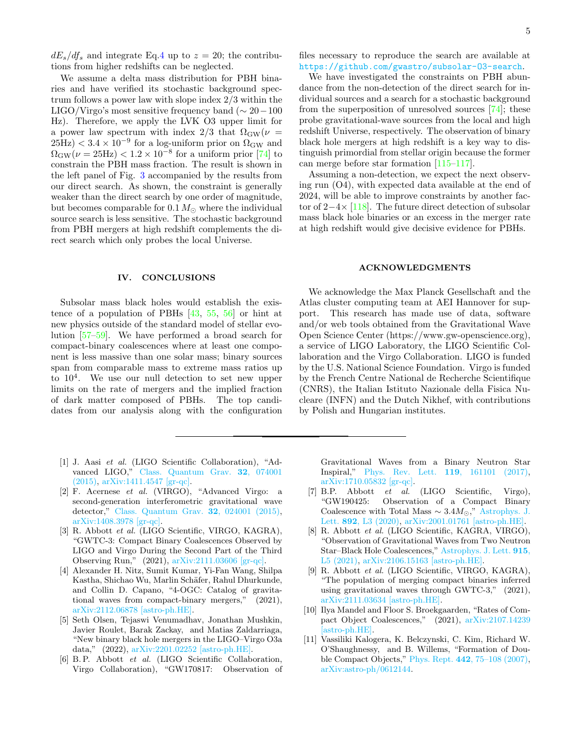$dE_s/df_s$  and integrate Eq[.4](#page-3-1) up to  $z = 20$ ; the contributions from higher redshifts can be neglected.

We assume a delta mass distribution for PBH binaries and have verified its stochastic background spectrum follows a power law with slope index 2/3 within the LIGO/Virgo's most sensitive frequency band ( $\sim 20-100$ Hz). Therefore, we apply the LVK O3 upper limit for a power law spectrum with index 2/3 that  $\Omega_{\rm GW}(\nu =$  $(25\text{Hz}) < 3.4 \times 10^{-9}$  for a log-uniform prior on  $\Omega_{\text{GW}}$  and  $\Omega_{\rm GW}(\nu = 25 \text{Hz}) < 1.2 \times 10^{-8}$  for a uniform prior [\[74\]](#page-7-4) to constrain the PBH mass fraction. The result is shown in the left panel of Fig. [3](#page-3-0) accompanied by the results from our direct search. As shown, the constraint is generally weaker than the direct search by one order of magnitude, but becomes comparable for  $0.1 M_{\odot}$  where the individual source search is less sensitive. The stochastic background from PBH mergers at high redshift complements the direct search which only probes the local Universe.

#### IV. CONCLUSIONS

Subsolar mass black holes would establish the existence of a population of PBHs [\[43,](#page-6-2) [55,](#page-6-12) [56\]](#page-6-13) or hint at new physics outside of the standard model of stellar evolution [\[57–](#page-6-14)[59\]](#page-6-15). We have performed a broad search for compact-binary coalescences where at least one component is less massive than one solar mass; binary sources span from comparable mass to extreme mass ratios up to 10<sup>4</sup> . We use our null detection to set new upper limits on the rate of mergers and the implied fraction of dark matter composed of PBHs. The top candidates from our analysis along with the configuration

- <span id="page-4-0"></span>[1] J. Aasi et al. (LIGO Scientific Collaboration), "Advanced LIGO," [Class. Quantum Grav.](http://dx.doi.org/10.1088/0264-9381/32/7/074001) 32, 074001 [\(2015\),](http://dx.doi.org/10.1088/0264-9381/32/7/074001) [arXiv:1411.4547 \[gr-qc\].](http://arxiv.org/abs/1411.4547)
- <span id="page-4-1"></span>[2] F. Acernese et al. (VIRGO), "Advanced Virgo: a second-generation interferometric gravitational wave detector," [Class. Quantum Grav.](http://dx.doi.org/ 10.1088/0264-9381/32/2/024001) 32, 024001 (2015), [arXiv:1408.3978 \[gr-qc\].](http://arxiv.org/abs/1408.3978)
- <span id="page-4-2"></span>[3] R. Abbott et al. (LIGO Scientific, VIRGO, KAGRA), "GWTC-3: Compact Binary Coalescences Observed by LIGO and Virgo During the Second Part of the Third Observing Run," (2021), [arXiv:2111.03606 \[gr-qc\].](http://arxiv.org/abs/2111.03606)
- [4] Alexander H. Nitz, Sumit Kumar, Yi-Fan Wang, Shilpa Kastha, Shichao Wu, Marlin Schäfer, Rahul Dhurkunde, and Collin D. Capano, "4-OGC: Catalog of gravitational waves from compact-binary mergers," (2021), [arXiv:2112.06878 \[astro-ph.HE\].](http://arxiv.org/abs/2112.06878)
- <span id="page-4-3"></span>[5] Seth Olsen, Tejaswi Venumadhav, Jonathan Mushkin, Javier Roulet, Barak Zackay, and Matias Zaldarriaga, "New binary black hole mergers in the LIGO–Virgo O3a data," (2022), [arXiv:2201.02252 \[astro-ph.HE\].](http://arxiv.org/abs/2201.02252)
- <span id="page-4-4"></span>[6] B. P. Abbott et al. (LIGO Scientific Collaboration, Virgo Collaboration), "GW170817: Observation of

files necessary to reproduce the search are available at <https://github.com/gwastro/subsolar-O3-search>.

We have investigated the constraints on PBH abundance from the non-detection of the direct search for individual sources and a search for a stochastic background from the superposition of unresolved sources [\[74\]](#page-7-4); these probe gravitational-wave sources from the local and high redshift Universe, respectively. The observation of binary black hole mergers at high redshift is a key way to distinguish primordial from stellar origin because the former can merge before star formation [\[115–](#page-8-14)[117\]](#page-8-15).

Assuming a non-detection, we expect the next observing run (O4), with expected data available at the end of 2024, will be able to improve constraints by another factor of  $2-4\times$  [\[118\]](#page-8-16). The future direct detection of subsolar mass black hole binaries or an excess in the merger rate at high redshift would give decisive evidence for PBHs.

#### ACKNOWLEDGMENTS

We acknowledge the Max Planck Gesellschaft and the Atlas cluster computing team at AEI Hannover for support. This research has made use of data, software and/or web tools obtained from the Gravitational Wave Open Science Center (https://www.gw-openscience.org), a service of LIGO Laboratory, the LIGO Scientific Collaboration and the Virgo Collaboration. LIGO is funded by the U.S. National Science Foundation. Virgo is funded by the French Centre National de Recherche Scientifique (CNRS), the Italian Istituto Nazionale della Fisica Nucleare (INFN) and the Dutch Nikhef, with contributions by Polish and Hungarian institutes.

Gravitational Waves from a Binary Neutron Star Inspiral," [Phys. Rev. Lett.](http://dx.doi.org/ 10.1103/PhysRevLett.119.161101) 119, 161101 (2017), [arXiv:1710.05832 \[gr-qc\].](http://arxiv.org/abs/1710.05832)

- <span id="page-4-5"></span>[7] B.P. Abbott et al. (LIGO Scientific, Virgo), "GW190425: Observation of a Compact Binary Coalescence with Total Mass  $\sim 3.4 M_{\odot}$ ," [Astrophys. J.](http://dx.doi.org/10.3847/2041-8213/ab75f5) Lett. 892[, L3 \(2020\),](http://dx.doi.org/10.3847/2041-8213/ab75f5) [arXiv:2001.01761 \[astro-ph.HE\].](http://arxiv.org/abs/2001.01761)
- <span id="page-4-6"></span>[8] R. Abbott et al. (LIGO Scientific, KAGRA, VIRGO), "Observation of Gravitational Waves from Two Neutron Star–Black Hole Coalescences," [Astrophys. J. Lett.](http://dx.doi.org/10.3847/2041-8213/ac082e) 915, [L5 \(2021\),](http://dx.doi.org/10.3847/2041-8213/ac082e) [arXiv:2106.15163 \[astro-ph.HE\].](http://arxiv.org/abs/2106.15163)
- <span id="page-4-7"></span>[9] R. Abbott et al. (LIGO Scientific, VIRGO, KAGRA), "The population of merging compact binaries inferred using gravitational waves through GWTC-3," (2021), [arXiv:2111.03634 \[astro-ph.HE\].](http://arxiv.org/abs/2111.03634)
- <span id="page-4-8"></span>[10] Ilya Mandel and Floor S. Broekgaarden, "Rates of Compact Object Coalescences," (2021), [arXiv:2107.14239](http://arxiv.org/abs/2107.14239) [\[astro-ph.HE\].](http://arxiv.org/abs/2107.14239)
- <span id="page-4-9"></span>[11] Vassiliki Kalogera, K. Belczynski, C. Kim, Richard W. O'Shaughnessy, and B. Willems, "Formation of Double Compact Objects," Phys. Rept. 442[, 75–108 \(2007\),](http://dx.doi.org/10.1016/j.physrep.2007.02.008) [arXiv:astro-ph/0612144.](http://arxiv.org/abs/astro-ph/0612144)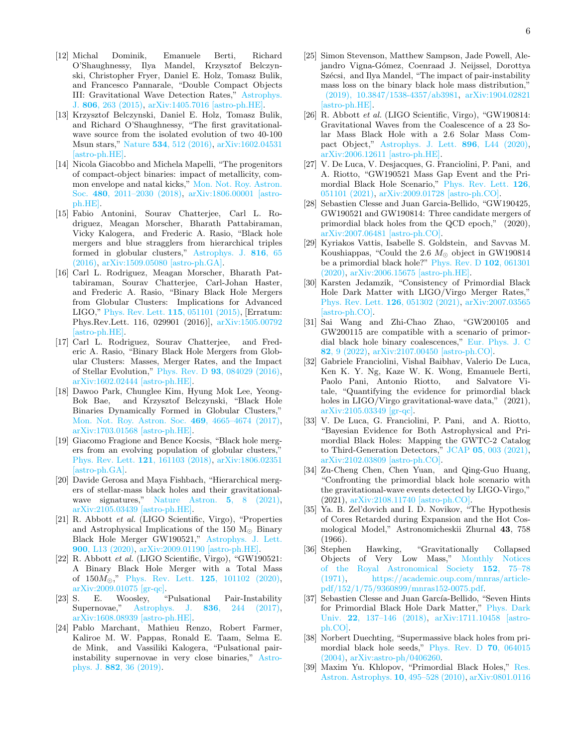- [12] Michal Dominik, Emanuele Berti, Richard O'Shaughnessy, Ilya Mandel, Krzysztof Belczynski, Christopher Fryer, Daniel E. Holz, Tomasz Bulik, and Francesco Pannarale, "Double Compact Objects III: Gravitational Wave Detection Rates," [Astrophys.](http://dx.doi.org/ 10.1088/0004-637X/806/2/263) J. 806[, 263 \(2015\),](http://dx.doi.org/ 10.1088/0004-637X/806/2/263) [arXiv:1405.7016 \[astro-ph.HE\].](http://arxiv.org/abs/1405.7016)
- [13] Krzysztof Belczynski, Daniel E. Holz, Tomasz Bulik, and Richard O'Shaughnessy, "The first gravitationalwave source from the isolated evolution of two 40-100 Msun stars," Nature 534[, 512 \(2016\),](http://dx.doi.org/10.1038/nature18322) [arXiv:1602.04531](http://arxiv.org/abs/1602.04531) [\[astro-ph.HE\].](http://arxiv.org/abs/1602.04531)
- <span id="page-5-0"></span>[14] Nicola Giacobbo and Michela Mapelli, "The progenitors of compact-object binaries: impact of metallicity, common envelope and natal kicks," [Mon. Not. Roy. Astron.](http://dx.doi.org/10.1093/mnras/sty1999) Soc. 480[, 2011–2030 \(2018\),](http://dx.doi.org/10.1093/mnras/sty1999) [arXiv:1806.00001 \[astro](http://arxiv.org/abs/1806.00001)[ph.HE\].](http://arxiv.org/abs/1806.00001)
- <span id="page-5-1"></span>[15] Fabio Antonini, Sourav Chatterjee, Carl L. Rodriguez, Meagan Morscher, Bharath Pattabiraman, Vicky Kalogera, and Frederic A. Rasio, "Black hole mergers and blue stragglers from hierarchical triples formed in globular clusters," [Astrophys. J.](http://dx.doi.org/10.3847/0004-637X/816/2/65) 816, 65 [\(2016\),](http://dx.doi.org/10.3847/0004-637X/816/2/65) [arXiv:1509.05080 \[astro-ph.GA\].](http://arxiv.org/abs/1509.05080)
- [16] Carl L. Rodriguez, Meagan Morscher, Bharath Pattabiraman, Sourav Chatterjee, Carl-Johan Haster, and Frederic A. Rasio, "Binary Black Hole Mergers from Globular Clusters: Implications for Advanced LIGO," [Phys. Rev. Lett.](http://dx.doi.org/10.1103/PhysRevLett.115.051101) 115, 051101 (2015), [Erratum: Phys.Rev.Lett. 116, 029901 (2016)], [arXiv:1505.00792](http://arxiv.org/abs/1505.00792) [\[astro-ph.HE\].](http://arxiv.org/abs/1505.00792)
- [17] Carl L. Rodriguez, Sourav Chatterjee, and Frederic A. Rasio, "Binary Black Hole Mergers from Globular Clusters: Masses, Merger Rates, and the Impact of Stellar Evolution," Phys. Rev. D 93[, 084029 \(2016\),](http://dx.doi.org/ 10.1103/PhysRevD.93.084029) [arXiv:1602.02444 \[astro-ph.HE\].](http://arxiv.org/abs/1602.02444)
- [18] Dawoo Park, Chunglee Kim, Hyung Mok Lee, Yeong-Bok Bae, and Krzysztof Belczynski, "Black Hole Binaries Dynamically Formed in Globular Clusters," [Mon. Not. Roy. Astron. Soc.](http://dx.doi.org/10.1093/mnras/stx1015) 469, 4665–4674 (2017), [arXiv:1703.01568 \[astro-ph.HE\].](http://arxiv.org/abs/1703.01568)
- [19] Giacomo Fragione and Bence Kocsis, "Black hole mergers from an evolving population of globular clusters, [Phys. Rev. Lett.](http://dx.doi.org/10.1103/PhysRevLett.121.161103) 121, 161103 (2018), [arXiv:1806.02351](http://arxiv.org/abs/1806.02351) [\[astro-ph.GA\].](http://arxiv.org/abs/1806.02351)
- <span id="page-5-2"></span>[20] Davide Gerosa and Maya Fishbach, "Hierarchical mergers of stellar-mass black holes and their gravitationalwave signatures," [Nature Astron.](http://dx.doi.org/10.1038/s41550-021-01398-w) 5, 8 (2021), [arXiv:2105.03439 \[astro-ph.HE\].](http://arxiv.org/abs/2105.03439)
- <span id="page-5-3"></span>[21] R. Abbott et al. (LIGO Scientific, Virgo), "Properties and Astrophysical Implications of the 150  $M_{\odot}$  Binary Black Hole Merger GW190521," [Astrophys. J. Lett.](http://dx.doi.org/10.3847/2041-8213/aba493) 900[, L13 \(2020\),](http://dx.doi.org/10.3847/2041-8213/aba493) [arXiv:2009.01190 \[astro-ph.HE\].](http://arxiv.org/abs/2009.01190)
- <span id="page-5-4"></span>[22] R. Abbott et al. (LIGO Scientific, Virgo), "GW190521: A Binary Black Hole Merger with a Total Mass of  $150M_{\odot}$ ," [Phys. Rev. Lett.](http://dx.doi.org/10.1103/PhysRevLett.125.101102) 125, 101102 (2020), [arXiv:2009.01075 \[gr-qc\].](http://arxiv.org/abs/2009.01075)
- <span id="page-5-5"></span>[23] S. E. Woosley, "Pulsational Pair-Instability Supernovae," Astrophys. J. 836[, 244 \(2017\),](http://dx.doi.org/ 10.3847/1538-4357/836/2/244) [arXiv:1608.08939 \[astro-ph.HE\].](http://arxiv.org/abs/1608.08939)
- [24] Pablo Marchant, Mathieu Renzo, Robert Farmer, Kaliroe M. W. Pappas, Ronald E. Taam, Selma E. de Mink, and Vassiliki Kalogera, "Pulsational pairinstability supernovae in very close binaries," [Astro](http://dx.doi.org/10.3847/1538-4357/ab3426)phys. J. 882[, 36 \(2019\).](http://dx.doi.org/10.3847/1538-4357/ab3426)
- <span id="page-5-6"></span>[25] Simon Stevenson, Matthew Sampson, Jade Powell, Alejandro Vigna-Gómez, Coenraad J. Neijssel, Dorottya Szécsi, and Ilya Mandel, "The impact of pair-instability mass loss on the binary black hole mass distribution," [\(2019\), 10.3847/1538-4357/ab3981,](http://dx.doi.org/ 10.3847/1538-4357/ab3981) [arXiv:1904.02821](http://arxiv.org/abs/1904.02821) [\[astro-ph.HE\].](http://arxiv.org/abs/1904.02821)
- <span id="page-5-7"></span>[26] R. Abbott et al. (LIGO Scientific, Virgo), "GW190814: Gravitational Waves from the Coalescence of a 23 Solar Mass Black Hole with a 2.6 Solar Mass Compact Object," [Astrophys. J. Lett.](http://dx.doi.org/10.3847/2041-8213/ab960f) 896, L44 (2020), [arXiv:2006.12611 \[astro-ph.HE\].](http://arxiv.org/abs/2006.12611)
- <span id="page-5-8"></span>[27] V. De Luca, V. Desjacques, G. Franciolini, P. Pani, and A. Riotto, "GW190521 Mass Gap Event and the Primordial Black Hole Scenario," [Phys. Rev. Lett.](http://dx.doi.org/10.1103/PhysRevLett.126.051101) 126, [051101 \(2021\),](http://dx.doi.org/10.1103/PhysRevLett.126.051101) [arXiv:2009.01728 \[astro-ph.CO\].](http://arxiv.org/abs/2009.01728)
- <span id="page-5-17"></span>[28] Sebastien Clesse and Juan Garcia-Bellido, "GW190425, GW190521 and GW190814: Three candidate mergers of primordial black holes from the QCD epoch," (2020), [arXiv:2007.06481 \[astro-ph.CO\].](http://arxiv.org/abs/2007.06481)
- [29] Kyriakos Vattis, Isabelle S. Goldstein, and Savvas M. Koushiappas, "Could the 2.6  $M_{\odot}$  object in GW190814 be a primordial black hole?" [Phys. Rev. D](http://dx.doi.org/10.1103/PhysRevD.102.061301) 102, 061301 [\(2020\),](http://dx.doi.org/10.1103/PhysRevD.102.061301) [arXiv:2006.15675 \[astro-ph.HE\].](http://arxiv.org/abs/2006.15675)
- [30] Karsten Jedamzik, "Consistency of Primordial Black Hole Dark Matter with LIGO/Virgo Merger Rates," [Phys. Rev. Lett.](http://dx.doi.org/10.1103/PhysRevLett.126.051302) 126, 051302 (2021), [arXiv:2007.03565](http://arxiv.org/abs/2007.03565) [\[astro-ph.CO\].](http://arxiv.org/abs/2007.03565)
- <span id="page-5-9"></span>[31] Sai Wang and Zhi-Chao Zhao, "GW200105 and GW200115 are compatible with a scenario of primordial black hole binary coalescences," [Eur. Phys. J. C](http://dx.doi.org/10.1140/epjc/s10052-021-09981-1) 82[, 9 \(2022\),](http://dx.doi.org/10.1140/epjc/s10052-021-09981-1) [arXiv:2107.00450 \[astro-ph.CO\].](http://arxiv.org/abs/2107.00450)
- <span id="page-5-10"></span>[32] Gabriele Franciolini, Vishal Baibhav, Valerio De Luca, Ken K. Y. Ng, Kaze W. K. Wong, Emanuele Berti, Paolo Pani, Antonio Riotto, and Salvatore Vitale, "Quantifying the evidence for primordial black holes in LIGO/Virgo gravitational-wave data," (2021), [arXiv:2105.03349 \[gr-qc\].](http://arxiv.org/abs/2105.03349)
- [33] V. De Luca, G. Franciolini, P. Pani, and A. Riotto, "Bayesian Evidence for Both Astrophysical and Primordial Black Holes: Mapping the GWTC-2 Catalog to Third-Generation Detectors," JCAP 05[, 003 \(2021\),](http://dx.doi.org/ 10.1088/1475-7516/2021/05/003) [arXiv:2102.03809 \[astro-ph.CO\].](http://arxiv.org/abs/2102.03809)
- <span id="page-5-11"></span>[34] Zu-Cheng Chen, Chen Yuan, and Qing-Guo Huang, "Confronting the primordial black hole scenario with the gravitational-wave events detected by LIGO-Virgo," (2021), [arXiv:2108.11740 \[astro-ph.CO\].](http://arxiv.org/abs/2108.11740)
- <span id="page-5-12"></span>[35] Ya. B. Zel'dovich and I. D. Novikov, "The Hypothesis of Cores Retarded during Expansion and the Hot Cosmological Model," Astronomicheskii Zhurnal 43, 758 (1966).
- <span id="page-5-13"></span>[36] Stephen Hawking, "Gravitationally Collapsed Objects of Very Low Mass," [Monthly Notices](http://dx.doi.org/ 10.1093/mnras/152.1.75) [of the Royal Astronomical Society](http://dx.doi.org/ 10.1093/mnras/152.1.75) 152, 75–78 [\(1971\),](http://dx.doi.org/ 10.1093/mnras/152.1.75) [https://academic.oup.com/mnras/article](http://arxiv.org/abs/https://academic.oup.com/mnras/article-pdf/152/1/75/9360899/mnras152-0075.pdf)[pdf/152/1/75/9360899/mnras152-0075.pdf.](http://arxiv.org/abs/https://academic.oup.com/mnras/article-pdf/152/1/75/9360899/mnras152-0075.pdf)
- <span id="page-5-14"></span>[37] Sebastien Clesse and Juan García-Bellido, "Seven Hints for Primordial Black Hole Dark Matter," [Phys. Dark](http://dx.doi.org/10.1016/j.dark.2018.08.004) Univ. 22[, 137–146 \(2018\),](http://dx.doi.org/10.1016/j.dark.2018.08.004) [arXiv:1711.10458 \[astro](http://arxiv.org/abs/1711.10458)[ph.CO\].](http://arxiv.org/abs/1711.10458)
- <span id="page-5-15"></span>[38] Norbert Duechting, "Supermassive black holes from primordial black hole seeds," [Phys. Rev. D](http://dx.doi.org/ 10.1103/PhysRevD.70.064015) 70, 064015 [\(2004\),](http://dx.doi.org/ 10.1103/PhysRevD.70.064015) [arXiv:astro-ph/0406260.](http://arxiv.org/abs/astro-ph/0406260)
- <span id="page-5-16"></span>[39] Maxim Yu. Khlopov, "Primordial Black Holes," [Res.](http://dx.doi.org/10.1088/1674-4527/10/6/001) [Astron. Astrophys.](http://dx.doi.org/10.1088/1674-4527/10/6/001) 10, 495–528 (2010), [arXiv:0801.0116](http://arxiv.org/abs/0801.0116)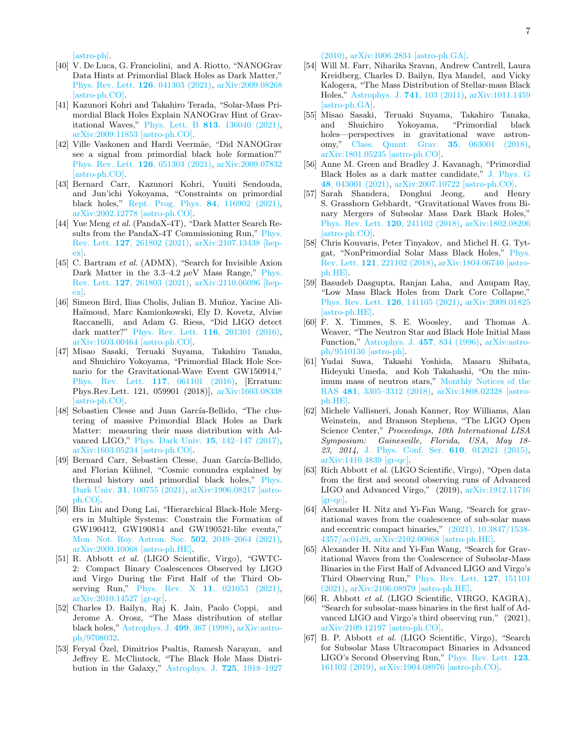[\[astro-ph\].](http://arxiv.org/abs/0801.0116)

- <span id="page-6-0"></span>[40] V. De Luca, G. Franciolini, and A. Riotto, "NANOGrav Data Hints at Primordial Black Holes as Dark Matter," [Phys. Rev. Lett.](http://dx.doi.org/ 10.1103/PhysRevLett.126.041303) 126, 041303 (2021), [arXiv:2009.08268](http://arxiv.org/abs/2009.08268) [\[astro-ph.CO\].](http://arxiv.org/abs/2009.08268)
- [41] Kazunori Kohri and Takahiro Terada, "Solar-Mass Primordial Black Holes Explain NANOGrav Hint of Gravitational Waves," Phys. Lett. B 813[, 136040 \(2021\),](http://dx.doi.org/10.1016/j.physletb.2020.136040) [arXiv:2009.11853 \[astro-ph.CO\].](http://arxiv.org/abs/2009.11853)
- <span id="page-6-1"></span>[42] Ville Vaskonen and Hardi Veermäe, "Did NANOGrav see a signal from primordial black hole formation?" [Phys. Rev. Lett.](http://dx.doi.org/ 10.1103/PhysRevLett.126.051303) 126, 051303 (2021), [arXiv:2009.07832](http://arxiv.org/abs/2009.07832) [\[astro-ph.CO\].](http://arxiv.org/abs/2009.07832)
- <span id="page-6-2"></span>[43] Bernard Carr, Kazunori Kohri, Yuuiti Sendouda, and Jun'ichi Yokoyama, "Constraints on primordial black holes," [Rept. Prog. Phys.](http://dx.doi.org/10.1088/1361-6633/ac1e31) 84, 116902 (2021), [arXiv:2002.12778 \[astro-ph.CO\].](http://arxiv.org/abs/2002.12778)
- <span id="page-6-3"></span>[44] Yue Meng et al. (PandaX-4T), "Dark Matter Search Re-sults from the PandaX-4T Commissioning Run," [Phys.](http://dx.doi.org/ 10.1103/PhysRevLett.127.261802) Rev. Lett. 127[, 261802 \(2021\),](http://dx.doi.org/ 10.1103/PhysRevLett.127.261802) [arXiv:2107.13438 \[hep](http://arxiv.org/abs/2107.13438)[ex\].](http://arxiv.org/abs/2107.13438)
- <span id="page-6-4"></span>[45] C. Bartram et al. (ADMX), "Search for Invisible Axion Dark Matter in the  $3.3-4.2 \mu\text{eV}$  Mass Range," [Phys.](http://dx.doi.org/10.1103/PhysRevLett.127.261803) Rev. Lett. 127[, 261803 \(2021\),](http://dx.doi.org/10.1103/PhysRevLett.127.261803) [arXiv:2110.06096 \[hep](http://arxiv.org/abs/2110.06096)[ex\].](http://arxiv.org/abs/2110.06096)
- <span id="page-6-5"></span>[46] Simeon Bird, Ilias Cholis, Julian B. Muñoz, Yacine Ali-Haïmoud, Marc Kamionkowski, Ely D. Kovetz, Alvise Raccanelli, and Adam G. Riess, "Did LIGO detect dark matter?" [Phys. Rev. Lett.](http://dx.doi.org/10.1103/PhysRevLett.116.201301) 116, 201301 (2016), [arXiv:1603.00464 \[astro-ph.CO\].](http://arxiv.org/abs/1603.00464)
- <span id="page-6-23"></span>[47] Misao Sasaki, Teruaki Suyama, Takahiro Tanaka, and Shuichiro Yokoyama, "Primordial Black Hole Scenario for the Gravitational-Wave Event GW150914," [Phys. Rev. Lett.](http://dx.doi.org/10.1103/PhysRevLett.117.061101) 117, 061101 (2016), [Erratum: Phys.Rev.Lett. 121, 059901 (2018)], [arXiv:1603.08338](http://arxiv.org/abs/1603.08338) [\[astro-ph.CO\].](http://arxiv.org/abs/1603.08338)
- <span id="page-6-6"></span>[48] Sebastien Clesse and Juan García-Bellido, "The clustering of massive Primordial Black Holes as Dark Matter: measuring their mass distribution with Advanced LIGO," [Phys. Dark Univ.](http://dx.doi.org/ 10.1016/j.dark.2016.10.002) 15, 142–147 (2017), [arXiv:1603.05234 \[astro-ph.CO\].](http://arxiv.org/abs/1603.05234)
- <span id="page-6-7"></span>[49] Bernard Carr, Sebastien Clesse, Juan García-Bellido, and Florian Kühnel, "Cosmic conundra explained by thermal history and primordial black holes," [Phys.](http://dx.doi.org/10.1016/j.dark.2020.100755) Dark Univ. 31[, 100755 \(2021\),](http://dx.doi.org/10.1016/j.dark.2020.100755) [arXiv:1906.08217 \[astro](http://arxiv.org/abs/1906.08217)[ph.CO\].](http://arxiv.org/abs/1906.08217)
- <span id="page-6-8"></span>[50] Bin Liu and Dong Lai, "Hierarchical Black-Hole Mergers in Multiple Systems: Constrain the Formation of GW190412, GW190814 and GW190521-like events," [Mon. Not. Roy. Astron. Soc.](http://dx.doi.org/10.1093/mnras/stab178) 502, 2049–2064 (2021), [arXiv:2009.10068 \[astro-ph.HE\].](http://arxiv.org/abs/2009.10068)
- <span id="page-6-9"></span>[51] R. Abbott et al. (LIGO Scientific, Virgo), "GWTC-2: Compact Binary Coalescences Observed by LIGO and Virgo During the First Half of the Third Ob-serving Run," Phys. Rev. X 11[, 021053 \(2021\),](http://dx.doi.org/10.1103/PhysRevX.11.021053) [arXiv:2010.14527 \[gr-qc\].](http://arxiv.org/abs/2010.14527)
- <span id="page-6-10"></span>[52] Charles D. Bailyn, Raj K. Jain, Paolo Coppi, and Jerome A. Orosz, "The Mass distribution of stellar black holes," [Astrophys. J.](http://dx.doi.org/10.1086/305614) 499, 367 (1998), [arXiv:astro](http://arxiv.org/abs/astro-ph/9708032)[ph/9708032.](http://arxiv.org/abs/astro-ph/9708032)
- [53] Feryal Ozel, Dimitrios Psaltis, Ramesh Narayan, and ¨ Jeffrey E. McClintock, "The Black Hole Mass Distribution in the Galaxy," [Astrophys. J.](http://dx.doi.org/10.1088/0004-637X/725/2/1918) 725, 1918–1927

[\(2010\),](http://dx.doi.org/10.1088/0004-637X/725/2/1918) [arXiv:1006.2834 \[astro-ph.GA\].](http://arxiv.org/abs/1006.2834)

- <span id="page-6-11"></span>[54] Will M. Farr, Niharika Sravan, Andrew Cantrell, Laura Kreidberg, Charles D. Bailyn, Ilya Mandel, and Vicky Kalogera, "The Mass Distribution of Stellar-mass Black Holes," [Astrophys. J.](http://dx.doi.org/ 10.1088/0004-637X/741/2/103) 741, 103 (2011), [arXiv:1011.1459](http://arxiv.org/abs/1011.1459) [\[astro-ph.GA\].](http://arxiv.org/abs/1011.1459)
- <span id="page-6-12"></span>[55] Misao Sasaki, Teruaki Suyama, Takahiro Tanaka, and Shuichiro Yokoyama, "Primordial black holes—perspectives in gravitational wave astronomy," [Class. Quant. Grav.](http://dx.doi.org/10.1088/1361-6382/aaa7b4) 35, 063001 (2018), [arXiv:1801.05235 \[astro-ph.CO\].](http://arxiv.org/abs/1801.05235)
- <span id="page-6-13"></span>[56] Anne M. Green and Bradley J. Kavanagh, "Primordial Black Holes as a dark matter candidate," [J. Phys. G](http://dx.doi.org/ 10.1088/1361-6471/abc534) 48[, 043001 \(2021\),](http://dx.doi.org/ 10.1088/1361-6471/abc534) [arXiv:2007.10722 \[astro-ph.CO\].](http://arxiv.org/abs/2007.10722)
- <span id="page-6-14"></span>[57] Sarah Shandera, Donghui Jeong, and Henry S. Grasshorn Gebhardt, "Gravitational Waves from Binary Mergers of Subsolar Mass Dark Black Holes," [Phys. Rev. Lett.](http://dx.doi.org/10.1103/PhysRevLett.120.241102) 120, 241102 (2018), [arXiv:1802.08206](http://arxiv.org/abs/1802.08206) [\[astro-ph.CO\].](http://arxiv.org/abs/1802.08206)
- [58] Chris Kouvaris, Peter Tinyakov, and Michel H. G. Tytgat, "NonPrimordial Solar Mass Black Holes," [Phys.](http://dx.doi.org/ 10.1103/PhysRevLett.121.221102) Rev. Lett. 121[, 221102 \(2018\),](http://dx.doi.org/ 10.1103/PhysRevLett.121.221102) [arXiv:1804.06740 \[astro](http://arxiv.org/abs/1804.06740)[ph.HE\].](http://arxiv.org/abs/1804.06740)
- <span id="page-6-15"></span>[59] Basudeb Dasgupta, Ranjan Laha, and Anupam Ray, "Low Mass Black Holes from Dark Core Collapse," [Phys. Rev. Lett.](http://dx.doi.org/10.1103/PhysRevLett.126.141105) 126, 141105 (2021), [arXiv:2009.01825](http://arxiv.org/abs/2009.01825) [\[astro-ph.HE\].](http://arxiv.org/abs/2009.01825)
- <span id="page-6-16"></span>[60] F. X. Timmes, S. E. Woosley, and Thomas A. Weaver, "The Neutron Star and Black Hole Initial Mass Function," [Astrophys. J.](http://dx.doi.org/ 10.1086/176778) 457, 834 (1996), [arXiv:astro](http://arxiv.org/abs/astro-ph/9510136)[ph/9510136 \[astro-ph\].](http://arxiv.org/abs/astro-ph/9510136)
- <span id="page-6-17"></span>[61] Yudai Suwa, Takashi Yoshida, Masaru Shibata, Hideyuki Umeda, and Koh Takahashi, "On the minimum mass of neutron stars," [Monthly Notices of the](http://dx.doi.org/10.1093/mnras/sty2460) RAS 481[, 3305–3312 \(2018\),](http://dx.doi.org/10.1093/mnras/sty2460) [arXiv:1808.02328 \[astro](http://arxiv.org/abs/1808.02328)[ph.HE\].](http://arxiv.org/abs/1808.02328)
- <span id="page-6-18"></span>[62] Michele Vallisneri, Jonah Kanner, Roy Williams, Alan Weinstein, and Branson Stephens, "The LIGO Open Science Center," Proceedings, 10th International LISA Symposium: Gainesville, Florida, USA, May 18- 23, 2014, [J. Phys. Conf. Ser.](http://dx.doi.org/10.1088/1742-6596/610/1/012021) 610, 012021 (2015), [arXiv:1410.4839 \[gr-qc\].](http://arxiv.org/abs/1410.4839)
- <span id="page-6-19"></span>[63] Rich Abbott *et al.* (LIGO Scientific, Virgo), "Open data from the first and second observing runs of Advanced LIGO and Advanced Virgo," (2019), [arXiv:1912.11716](http://arxiv.org/abs/1912.11716)  $\left[\text{gr-}\text{qc}\right]$ .
- <span id="page-6-20"></span>[64] Alexander H. Nitz and Yi-Fan Wang, "Search for gravitational waves from the coalescence of sub-solar mass and eccentric compact binaries," [\(2021\), 10.3847/1538-](http://dx.doi.org/10.3847/1538-4357/ac01d9) [4357/ac01d9,](http://dx.doi.org/10.3847/1538-4357/ac01d9) [arXiv:2102.00868 \[astro-ph.HE\].](http://arxiv.org/abs/2102.00868)
- <span id="page-6-21"></span>[65] Alexander H. Nitz and Yi-Fan Wang, "Search for Gravitational Waves from the Coalescence of Subsolar-Mass Binaries in the First Half of Advanced LIGO and Virgo's Third Observing Run," [Phys. Rev. Lett.](http://dx.doi.org/10.1103/PhysRevLett.127.151101) 127, 151101 [\(2021\),](http://dx.doi.org/10.1103/PhysRevLett.127.151101) [arXiv:2106.08979 \[astro-ph.HE\].](http://arxiv.org/abs/2106.08979)
- <span id="page-6-22"></span>[66] R. Abbott et al. (LIGO Scientific, VIRGO, KAGRA), "Search for subsolar-mass binaries in the first half of Advanced LIGO and Virgo's third observing run," (2021), [arXiv:2109.12197 \[astro-ph.CO\].](http://arxiv.org/abs/2109.12197)
- [67] B. P. Abbott et al. (LIGO Scientific, Virgo), "Search for Subsolar Mass Ultracompact Binaries in Advanced LIGO's Second Observing Run," [Phys. Rev. Lett.](http://dx.doi.org/10.1103/PhysRevLett.123.161102) 123, [161102 \(2019\),](http://dx.doi.org/10.1103/PhysRevLett.123.161102) [arXiv:1904.08976 \[astro-ph.CO\].](http://arxiv.org/abs/1904.08976)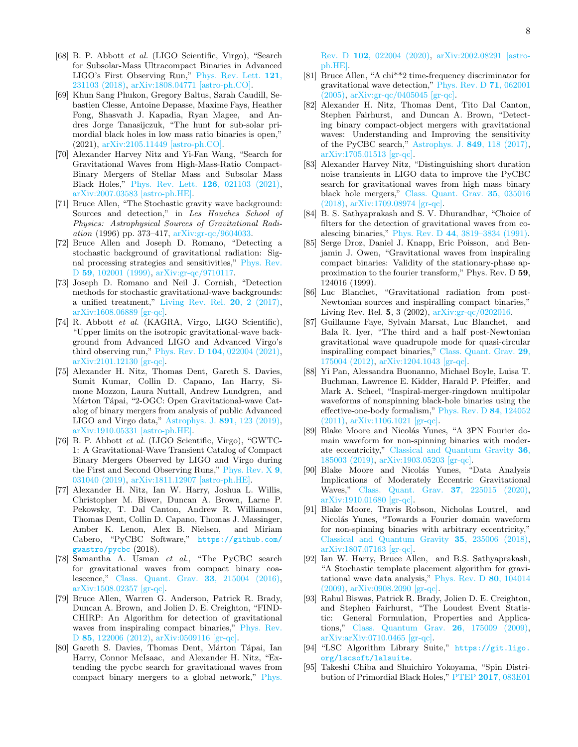- [68] B. P. Abbott et al. (LIGO Scientific, Virgo), "Search for Subsolar-Mass Ultracompact Binaries in Advanced LIGO's First Observing Run," [Phys. Rev. Lett.](http://dx.doi.org/10.1103/PhysRevLett.121.231103) 121, [231103 \(2018\),](http://dx.doi.org/10.1103/PhysRevLett.121.231103) [arXiv:1808.04771 \[astro-ph.CO\].](http://arxiv.org/abs/1808.04771)
- <span id="page-7-0"></span>[69] Khun Sang Phukon, Gregory Baltus, Sarah Caudill, Sebastien Clesse, Antoine Depasse, Maxime Fays, Heather Fong, Shasvath J. Kapadia, Ryan Magee, and Andres Jorge Tanasijczuk, "The hunt for sub-solar primordial black holes in low mass ratio binaries is open," (2021), [arXiv:2105.11449 \[astro-ph.CO\].](http://arxiv.org/abs/2105.11449)
- <span id="page-7-1"></span>[70] Alexander Harvey Nitz and Yi-Fan Wang, "Search for Gravitational Waves from High-Mass-Ratio Compact-Binary Mergers of Stellar Mass and Subsolar Mass Black Holes," [Phys. Rev. Lett.](http://dx.doi.org/ 10.1103/PhysRevLett.126.021103) 126, 021103 (2021), [arXiv:2007.03583 \[astro-ph.HE\].](http://arxiv.org/abs/2007.03583)
- <span id="page-7-2"></span>[71] Bruce Allen, "The Stochastic gravity wave background: Sources and detection," in Les Houches School of Physics: Astrophysical Sources of Gravitational Radiation (1996) pp. 373–417, [arXiv:gr-qc/9604033.](http://arxiv.org/abs/gr-qc/9604033)
- [72] Bruce Allen and Joseph D. Romano, "Detecting a stochastic background of gravitational radiation: Signal processing strategies and sensitivities," [Phys. Rev.](http://dx.doi.org/ 10.1103/PhysRevD.59.102001) D 59[, 102001 \(1999\),](http://dx.doi.org/ 10.1103/PhysRevD.59.102001) [arXiv:gr-qc/9710117.](http://arxiv.org/abs/gr-qc/9710117)
- <span id="page-7-3"></span>[73] Joseph D. Romano and Neil J. Cornish, "Detection methods for stochastic gravitational-wave backgrounds: a unified treatment," [Living Rev. Rel.](http://dx.doi.org/10.1007/s41114-017-0004-1) 20, 2 (2017), [arXiv:1608.06889 \[gr-qc\].](http://arxiv.org/abs/1608.06889)
- <span id="page-7-4"></span>[74] R. Abbott et al. (KAGRA, Virgo, LIGO Scientific), "Upper limits on the isotropic gravitational-wave background from Advanced LIGO and Advanced Virgo's third observing run," Phys. Rev. D 104[, 022004 \(2021\),](http://dx.doi.org/ 10.1103/PhysRevD.104.022004) [arXiv:2101.12130 \[gr-qc\].](http://arxiv.org/abs/2101.12130)
- <span id="page-7-15"></span>[75] Alexander H. Nitz, Thomas Dent, Gareth S. Davies, Sumit Kumar, Collin D. Capano, Ian Harry, Simone Mozzon, Laura Nuttall, Andrew Lundgren, and Márton Tápai, "2-OGC: Open Gravitational-wave Catalog of binary mergers from analysis of public Advanced LIGO and Virgo data," [Astrophys. J.](http://dx.doi.org/10.3847/1538-4357/ab733f) 891, 123 (2019), [arXiv:1910.05331 \[astro-ph.HE\].](http://arxiv.org/abs/1910.05331)
- <span id="page-7-16"></span>[76] B. P. Abbott et al. (LIGO Scientific, Virgo), "GWTC-1: A Gravitational-Wave Transient Catalog of Compact Binary Mergers Observed by LIGO and Virgo during the First and Second Observing Runs," [Phys. Rev. X](http://dx.doi.org/10.1103/PhysRevX.9.031040) 9, [031040 \(2019\),](http://dx.doi.org/10.1103/PhysRevX.9.031040) [arXiv:1811.12907 \[astro-ph.HE\].](http://arxiv.org/abs/1811.12907)
- <span id="page-7-5"></span>[77] Alexander H. Nitz, Ian W. Harry, Joshua L. Willis, Christopher M. Biwer, Duncan A. Brown, Larne P. Pekowsky, T. Dal Canton, Andrew R. Williamson, Thomas Dent, Collin D. Capano, Thomas J. Massinger, Amber K. Lenon, Alex B. Nielsen, and Miriam Cabero, "PyCBC Software," [https://github.com/](https://github.com/gwastro/pycbc) [gwastro/pycbc](https://github.com/gwastro/pycbc) (2018).
- <span id="page-7-6"></span>[78] Samantha A. Usman et al., "The PyCBC search for gravitational waves from compact binary coalescence," [Class. Quant. Grav.](http://dx.doi.org/10.1088/0264-9381/33/21/215004) 33, 215004 (2016), [arXiv:1508.02357 \[gr-qc\].](http://arxiv.org/abs/1508.02357)
- [79] Bruce Allen, Warren G. Anderson, Patrick R. Brady, Duncan A. Brown, and Jolien D. E. Creighton, "FIND-CHIRP: An Algorithm for detection of gravitational waves from inspiraling compact binaries," [Phys. Rev.](http://dx.doi.org/ 10.1103/PhysRevD.85.122006) D 85[, 122006 \(2012\),](http://dx.doi.org/ 10.1103/PhysRevD.85.122006) [arXiv:0509116 \[gr-qc\].](http://arxiv.org/abs/0509116)
- <span id="page-7-7"></span>[80] Gareth S. Davies, Thomas Dent, Márton Tápai, Ian Harry, Connor McIsaac, and Alexander H. Nitz, "Extending the pycbc search for gravitational waves from compact binary mergers to a global network," [Phys.](http://dx.doi.org/10.1103/PhysRevD.102.022004)

Rev. D 102[, 022004 \(2020\),](http://dx.doi.org/10.1103/PhysRevD.102.022004) [arXiv:2002.08291 \[astro](http://arxiv.org/abs/2002.08291)[ph.HE\].](http://arxiv.org/abs/2002.08291)

- <span id="page-7-8"></span>[81] Bruce Allen, "A chi\*\*2 time-frequency discriminator for gravitational wave detection," [Phys. Rev. D](http://dx.doi.org/10.1103/PhysRevD.71.062001) 71, 062001 [\(2005\),](http://dx.doi.org/10.1103/PhysRevD.71.062001) [arXiv:gr-qc/0405045 \[gr-qc\].](http://arxiv.org/abs/gr-qc/0405045)
- [82] Alexander H. Nitz, Thomas Dent, Tito Dal Canton, Stephen Fairhurst, and Duncan A. Brown, "Detecting binary compact-object mergers with gravitational waves: Understanding and Improving the sensitivity of the PyCBC search," [Astrophys. J.](http://dx.doi.org/ 10.3847/1538-4357/aa8f50) 849, 118 (2017), [arXiv:1705.01513 \[gr-qc\].](http://arxiv.org/abs/1705.01513)
- <span id="page-7-9"></span>[83] Alexander Harvey Nitz, "Distinguishing short duration noise transients in LIGO data to improve the PyCBC search for gravitational waves from high mass binary black hole mergers," [Class. Quant. Grav.](http://dx.doi.org/10.1088/1361-6382/aaa13d) 35, 035016 [\(2018\),](http://dx.doi.org/10.1088/1361-6382/aaa13d) [arXiv:1709.08974 \[gr-qc\].](http://arxiv.org/abs/1709.08974)
- <span id="page-7-10"></span>[84] B. S. Sathyaprakash and S. V. Dhurandhar, "Choice of filters for the detection of gravitational waves from coalescing binaries," Phys. Rev. D 44[, 3819–3834 \(1991\).](http://dx.doi.org/10.1103/PhysRevD.44.3819)
- [85] Serge Droz, Daniel J. Knapp, Eric Poisson, and Benjamin J. Owen, "Gravitational waves from inspiraling compact binaries: Validity of the stationary-phase approximation to the fourier transform," Phys. Rev. D 59, 124016 (1999).
- [86] Luc Blanchet, "Gravitational radiation from post-Newtonian sources and inspiralling compact binaries," Living Rev. Rel. 5, 3 (2002), [arXiv:gr-qc/0202016.](http://arxiv.org/abs/arXiv:gr-qc/0202016)
- <span id="page-7-11"></span>[87] Guillaume Faye, Sylvain Marsat, Luc Blanchet, and Bala R. Iyer, "The third and a half post-Newtonian gravitational wave quadrupole mode for quasi-circular inspiralling compact binaries," [Class. Quant. Grav.](http://dx.doi.org/ 10.1088/0264-9381/29/17/175004) 29, [175004 \(2012\),](http://dx.doi.org/ 10.1088/0264-9381/29/17/175004) [arXiv:1204.1043 \[gr-qc\].](http://arxiv.org/abs/1204.1043)
- <span id="page-7-12"></span>[88] Yi Pan, Alessandra Buonanno, Michael Boyle, Luisa T. Buchman, Lawrence E. Kidder, Harald P. Pfeiffer, and Mark A. Scheel, "Inspiral-merger-ringdown multipolar waveforms of nonspinning black-hole binaries using the effective-one-body formalism," [Phys. Rev. D](http://dx.doi.org/ 10.1103/PhysRevD.84.124052) 84, 124052 [\(2011\),](http://dx.doi.org/ 10.1103/PhysRevD.84.124052) [arXiv:1106.1021 \[gr-qc\].](http://arxiv.org/abs/1106.1021)
- <span id="page-7-13"></span>[89] Blake Moore and Nicolás Yunes, "A 3PN Fourier domain waveform for non-spinning binaries with moderate eccentricity," [Classical and Quantum Gravity](http://dx.doi.org/10.1088/1361-6382/ab3778) 36, [185003 \(2019\),](http://dx.doi.org/10.1088/1361-6382/ab3778) [arXiv:1903.05203 \[gr-qc\].](http://arxiv.org/abs/1903.05203)
- [90] Blake Moore and Nicolás Yunes, "Data Analysis Implications of Moderately Eccentric Gravitational Waves," [Class. Quant. Grav.](http://dx.doi.org/10.1088/1361-6382/ab7963) 37, 225015 (2020), [arXiv:1910.01680 \[gr-qc\].](http://arxiv.org/abs/1910.01680)
- <span id="page-7-14"></span>[91] Blake Moore, Travis Robson, Nicholas Loutrel, and Nicolás Yunes, "Towards a Fourier domain waveform for non-spinning binaries with arbitrary eccentricity," [Classical and Quantum Gravity](http://dx.doi.org/10.1088/1361-6382/aaea00) 35, 235006 (2018), [arXiv:1807.07163 \[gr-qc\].](http://arxiv.org/abs/1807.07163)
- <span id="page-7-17"></span>[92] Ian W. Harry, Bruce Allen, and B.S. Sathyaprakash, "A Stochastic template placement algorithm for gravitational wave data analysis," [Phys. Rev. D](http://dx.doi.org/10.1103/PhysRevD.80.104014) 80, 104014 [\(2009\),](http://dx.doi.org/10.1103/PhysRevD.80.104014) [arXiv:0908.2090 \[gr-qc\].](http://arxiv.org/abs/0908.2090)
- <span id="page-7-18"></span>[93] Rahul Biswas, Patrick R. Brady, Jolien D. E. Creighton, and Stephen Fairhurst, "The Loudest Event Statistic: General Formulation, Properties and Applications," [Class. Quantum Grav.](http://dx.doi.org/10.1088/0264-9381/26/17/175009) 26, 175009 (2009), [arXiv:arXiv:0710.0465 \[gr-qc\].](http://arxiv.org/abs/arXiv:0710.0465)
- <span id="page-7-19"></span>[94] "LSC Algorithm Library Suite," [https://git.ligo.](https://git.ligo.org/lscsoft/lalsuite) [org/lscsoft/lalsuite](https://git.ligo.org/lscsoft/lalsuite).
- <span id="page-7-20"></span>[95] Takeshi Chiba and Shuichiro Yokoyama, "Spin Distribution of Primordial Black Holes," PTEP 2017[, 083E01](http://dx.doi.org/ 10.1093/ptep/ptx087)